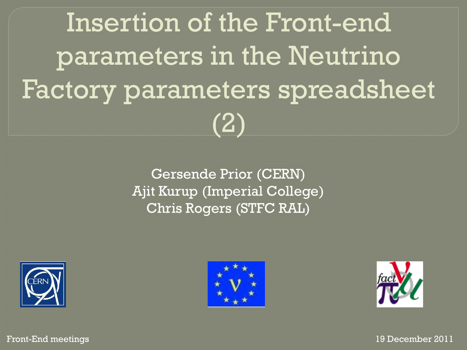Insertion of the Front-end parameters in the Neutrino Factory parameters spreadsheet (2)

> Gersende Prior (CERN) Ajit Kurup (Imperial College) Chris Rogers (STFC RAL)







Front-End meetings 19 December 2011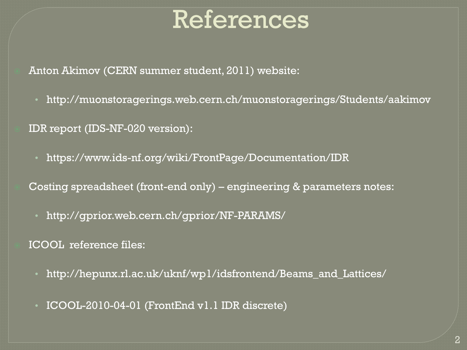## References

Anton Akimov (CERN summer student, 2011) website:

• http://muonstoragerings.web.cern.ch/muonstoragerings/Students/aakimov

IDR report (IDS-NF-020 version):

• https://www.ids-nf.org/wiki/FrontPage/Documentation/IDR

Costing spreadsheet (front-end only) – engineering & parameters notes:

• http://gprior.web.cern.ch/gprior/NF-PARAMS/

ICOOL reference files:

- http://hepunx.rl.ac.uk/uknf/wp1/idsfrontend/Beams\_and\_Lattices/
- ICOOL-2010-04-01 (FrontEnd v1.1 IDR discrete)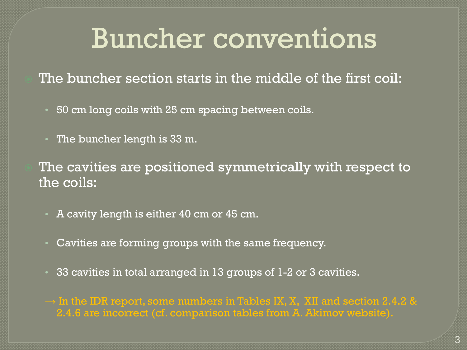# Buncher conventions

The buncher section starts in the middle of the first coil:

- 50 cm long coils with 25 cm spacing between coils.
- The buncher length is 33 m.

 The cavities are positioned symmetrically with respect to the coils:

- A cavity length is either 40 cm or 45 cm.
- Cavities are forming groups with the same frequency.
- 33 cavities in total arranged in 13 groups of 1-2 or 3 cavities.

 $\rightarrow$  In the IDR report, some numbers in Tables IX, X, XII and section 2.4.2 & 2.4.6 are incorrect (cf. comparison tables from A. Akimov website).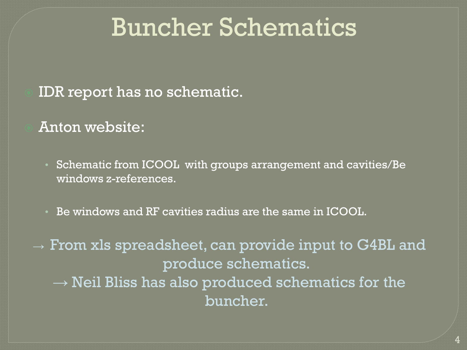## Buncher Schematics

### IDR report has no schematic.

- Anton website:
	- Schematic from ICOOL with groups arrangement and cavities/Be windows z-references.
	- Be windows and RF cavities radius are the same in ICOOL.

 $\rightarrow$  From xls spreadsheet, can provide input to G4BL and produce schematics.  $\rightarrow$  Neil Bliss has also produced schematics for the buncher.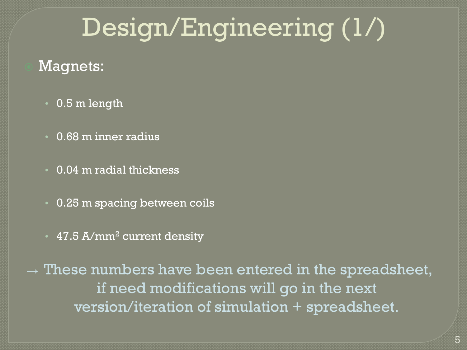# Design/Engineering (1/)

### Magnets:

- 0.5 m length
- 0.68 m inner radius
- 0.04 m radial thickness
- 0.25 m spacing between coils
- 47.5 A/mm<sup>2</sup> current density

 $\rightarrow$  These numbers have been entered in the spreadsheet, if need modifications will go in the next version/iteration of simulation + spreadsheet.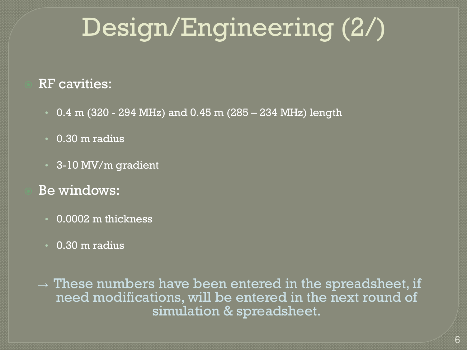# Design/Engineering (2/)

#### RF cavities:

- $\cdot$  0.4 m (320 294 MHz) and 0.45 m (285 234 MHz) length
- 0.30 m radius
- 3-10 MV/m gradient
- Be windows:
	- 0.0002 m thickness
	- 0.30 m radius

 $\rightarrow$  These numbers have been entered in the spreadsheet, if need modifications, will be entered in the next round of simulation & spreadsheet.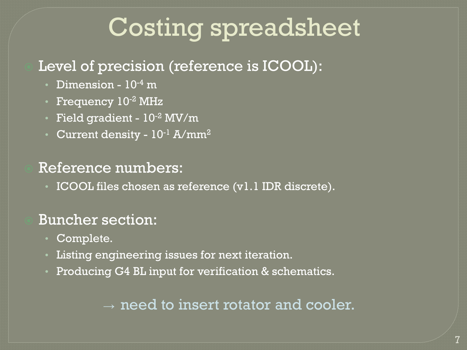# Costing spreadsheet

### Level of precision (reference is ICOOL):

- Dimension 10<sup>-4</sup> m
- Frequency  $10^{-2}$  MHz
- Field gradient 10-2 MV/m
- Current density  $10^{-1}$  A/mm<sup>2</sup>

### Reference numbers:

• ICOOL files chosen as reference (v1.1 IDR discrete).

### Buncher section:

- Complete.
- Listing engineering issues for next iteration.
- Producing G4 BL input for verification & schematics.

### $\rightarrow$  need to insert rotator and cooler.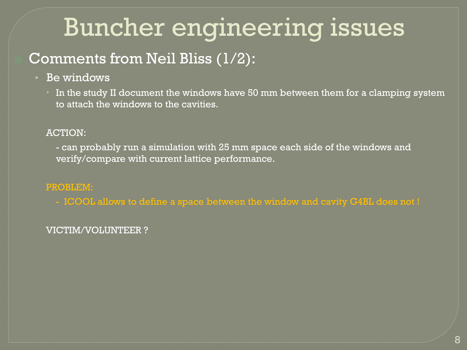## Buncher engineering issues

### Comments from Neil Bliss (1/2):

- Be windows
	- In the study II document the windows have 50 mm between them for a clamping system to attach the windows to the cavities.

#### ACTION:

- can probably run a simulation with 25 mm space each side of the windows and verify/compare with current lattice performance.

#### PROBLEM:

- ICOOL allows to define a space between the window and cavity G4BL does not !

#### VICTIM/VOLUNTEER ?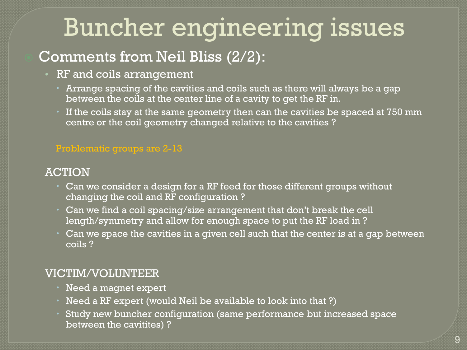## Buncher engineering issues

### Comments from Neil Bliss (2/2):

- RF and coils arrangement
	- Arrange spacing of the cavities and coils such as there will always be a gap between the coils at the center line of a cavity to get the RF in.
	- If the coils stay at the same geometry then can the cavities be spaced at 750 mm centre or the coil geometry changed relative to the cavities ?

#### Problematic groups are 2-13

#### ACTION

- Can we consider a design for a RF feed for those different groups without changing the coil and RF configuration ?
- Can we find a coil spacing/size arrangement that don't break the cell length/symmetry and allow for enough space to put the RF load in ?
- Can we space the cavities in a given cell such that the center is at a gap between coils ?

#### VICTIM/VOLUNTEER

- Need a magnet expert
- Need a RF expert (would Neil be available to look into that ?)
- Study new buncher configuration (same performance but increased space between the cavitites) ?